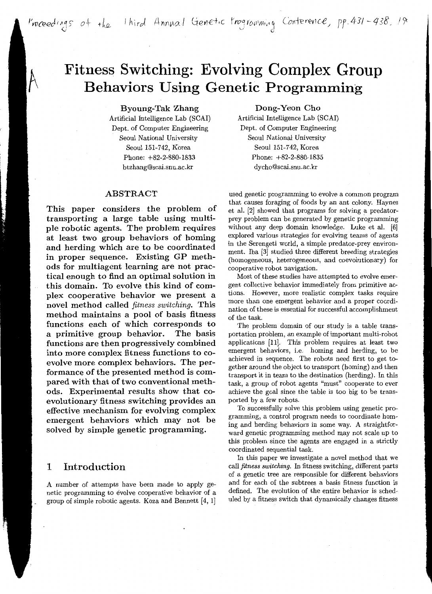Proceedings of the <sup>1</sup>hird Annual Genetic Programming Conterence, pp. 431-438, 19

# **Fitness Switching: Evolving Complex Group Behaviors Using Genetic Programming**

Byoung-Tak Zhang

Artificial Intelligence Lab (SCAI) Dept. of Computer Engineering Seoul National University Seoul 151-742, Korea Phone: +82-2-880-1833 btzhang@scai.snu.ac.kr

#### ABSTRACT

This paper considers the problem of transporting a large table using multiple robotic agents. The problem requires at least two group behaviors of homing and herding which are to be coordinated in proper sequence. Existing GP methods for multiagent learning are not practical enough to find an optimal solution in this domain. To evolve this kind of complex cooperative behavior we present a novel method called *fitness switching.* This method maintains a pool of basis fitness functions each of which corresponds to a primitive group behavior. The basis functions are then progressively combined into more complex fitness functions to coevolve more complex behaviors. The performance of the presented method is compared with that of two conventional methods. Experimental results show that coevolutionary fitness switching provides an effective mechanism for evolving complex emergent behaviors which may not be solved by simple genetic programming.

### 1 Introduction

A number of attempts have been made to apply genetic programming to evolve cooperative behavior of a group of simple robotic agents. Koza and Bennett [4, 1]

Dong-Yeon Cho

Artificial Intelligence Lab (SCAI) Dept. of Computer Engineering Seoul National University Seoul 151-742, Korea Phone: +82-2-880-1835 dycho@scai.snu.ac.kr

used genetic programming to evolve a common program that causes foraging of foods by an ant colony. Haynes et al. [2] showed that programs for solving a predatorprey problem can be generated by genetic programming without any deep domain knowledge. Luke et al. [6] explored various strategies for evolving teams of agents in the Serengeti world, a simple predator-prey environment. Iba [3] studied three different breeding strategies (homogeneous, heterogeneous, and coevolutionary) for cooperative robot navigation.

Most of these studies have attempted to evolve emergent collective behavior immediately from primitive actions. However, more realistic complex tasks require more than one emergent behavior and a proper coordination of these is essential for successful accomplishment of the task.

The problem domain of our study is a table transportation problem, an example of important multi-robot applications [11]. This problem requires at least two emergent behaviors, i.e. homing and herding, to be achieved in sequence. The robots need first to get together around the object to transport (homing) and then transport it in team to the destination (herding). In this task, a group of robot agents "must" cooperate to ever achieve the goal since the table is too big to be transported by a few robots.

To successfully solve this problem using genetic programming, a control program needs to coordinate homing and herding behaviors in some way. A straightforward genetic programming method may not scale up to this problem since the agents are engaged in a strictly coordinated sequential task.

In this paper we investigate a novel method that we call *fitness switching.* In fitness switching, different parts of a genetic tree are responsible for different behaviors and for each of the subtrees a basis fitness function is defined. The evolution of the entire behavior is scheduled by a fitness switch that dynamically changes fitness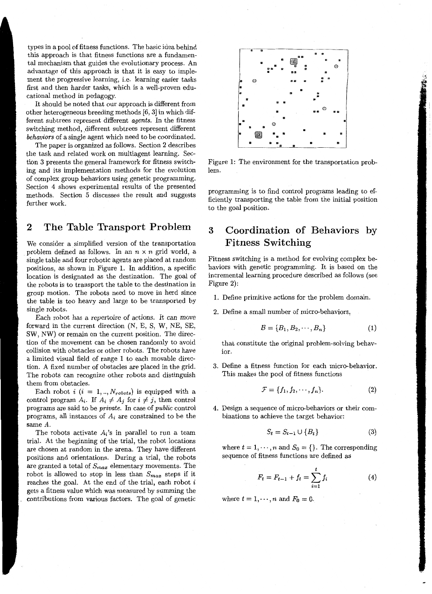types in a pool of fitness functions. The basic idea behind this approach is that fitness functions are a fundamental mechanism that guides the evolutionary process. An advantage of this approach is that it is easy to implement the progressive learning, i.e. learning easier tasks first and then harder tasks, which is a well-proven educational method in pedagogy.

It should be noted that our approach is different from other heterogeneous breeding methods [6, 3] in which different subtrees represent different *agents.* In the fitness switching method, different subtrees represent different *behaviors* of a single agent which need to be coordinated.

The paper is organized as follows. Section 2 describes the task and related work on multiagent learning. Section 3 presents the general framework for fitness switching and its implementation methods for the evolution of complex group behaviors using genetic programming. Section 4 shows experimental results of the presented methods. Section 5 discusses the result and suggests further work.

## **2 The Table Transport Problem**

We consider a simplified version of the transportation problem defined as follows. In an  $n \times n$  grid world, a single table and four robotic agents are placed at random positions, as shown in Figure 1. In addition, a specific location is designated as the destination. The goal of the robots is to transport the table to the destination in group motion. The robots need to move in herd since the table is too heavy and large to be transported by single robots.

Each robot has a repertoire of actions. *It* can *move*  forward in the current direction (N, E, S, W, NE, SE, SW, NW) or remain on the current position. The direction of the movement can be chosen randomly to avoid collision with obstacles or other robots. The robots have a limited visual field of range 1 to each movable direction. A fixed number of obstacles are placed in the grid. The robots can recognize other robots and distinguish them from obstacles.

Each robot  $i$  ( $i = 1,..,N_{robots}$ ) is equipped with a control program  $A_i$ . If  $A_i \neq A_j$  for  $i \neq j$ , then control programs are said to be *private.* In case of *public* control programs, all instances of *Ai* are constrained to be the same A.

The robots activate  $A_i$ 's in parallel to run a team trial. At the beginning of the trial, the robot locations are chosen at random in the arena. They have different positions and orientations. During a trial, the robots are granted a total of *Smax* elementary movements. The robot is allowed to stop in less than *Smax* steps if it reaches the goal. At the end of the trial, each robot  $i$ gets a fitness value which was measured by summing the contributions from various factors. The goal of genetic



Figure 1: The environment for the transportation problem.

programming is to find control programs leading to efficiently transporting the table from the initial position to the goal position.

# **3 Coordination of Behaviors by Fitness Switching**

Fitness switching is a method for evolving complex behaviors with genetic programming. It is based on the incremental learning procedure described as follows (see Figure 2):

- 1. Define primitive actions for the problem domain.
- 2. Define a small number of micro-behaviors,

$$
\mathcal{B} = \{B_1, B_2, \cdots, B_n\} \tag{1}
$$

that constitute the original problem-solving behavior.

3. Define a fitness function for each micro-behavior. This makes the pool of fitness functions

$$
\mathcal{F} = \{f_1, f_2, \cdots, f_n\}.
$$
 (2)

4. Design a sequence of micro-behaviors or their combinations to achieve the target behavior:

$$
S_t = S_{t-1} \cup \{B_t\} \tag{3}
$$

where  $t = 1, \dots, n$  and  $S_0 = \{\}$ . The corresponding sequence of fitness functions are defined as

$$
F_t = F_{t-1} + f_t = \sum_{i=1}^t f_i
$$
 (4)

where  $t = 1, \dots, n$  and  $F_0 = 0$ .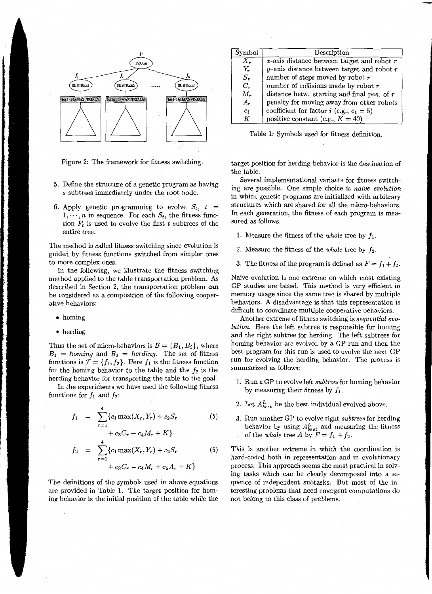

Figure 2: The framework for fitness switching.

- 5. Define the structure of a genetic program as having *s* subtrees immediately under the root node.
- 6. Apply genetic programming to evolve  $S_t$ ,  $t =$  $1, \dots, n$  in sequence. For each  $S_t$ , the fitness function  $F_t$  is used to evolve the first  $t$  subtrees of the entire tree.

The method is called fitness switching since evolution is guided by fitness functions switched from simpler ones to more complex ones.

In the following, we illustrate the fitness switching method applied to the table transportation problem. As described in Section 2, the transportation problem can be considered as a composition of the following cooperative behaviors:

- homing
- herding

Thus the set of micro-behaviors is  $\mathcal{B} = \{B_1, B_2\}$ , where  $B_1 = \text{homing and } B_2 = \text{herding.}$  The set of fitness functions is  $\mathcal{F} = \{f_1, f_2\}$ . Here  $f_1$  is the fitness function for the homing behavior to the table and the  $f_2$  is the herding behavior for transporting the table to the goal.

In the experiments we have used the following fitness functions for  $f_1$  and  $f_2$ :

$$
f_1 = \sum_{r=1}^{4} \{c_1 \max(X_r, Y_r) + c_2 S_r \tag{5}
$$

$$
+ c_3 C_r - c_4 M_r + K
$$
  
\n
$$
f_2 = \sum_{r=1}^4 \{c_1 \max(X_r, Y_r) + c_2 S_r
$$
 (6)  
\n
$$
+ c_3 C_r - c_4 M_r + c_5 A_r + K\}
$$

The definitions of the symbols used in above equations are provided in Table 1. The target position for homing behavior is the initial position of the table while the

| Symbol  | Description                                        |
|---------|----------------------------------------------------|
| $X_{r}$ | $x$ -axis distance between target and robot $r$    |
| $Y_r$   | $y$ -axis distance between target and robot $r$    |
| $S_{r}$ | number of steps moved by robot $r$                 |
| $C_r$   | number of collisions made by robot $r$             |
| $M_r$   | distance betw. starting and final pos. of $r$      |
| $A_r$   | penalty for moving away from other robots          |
| $c_i$   | coefficient for factor <i>i</i> (e.g., $c_1 = 5$ ) |
| K       | positive constant (e.g., $K = 40$ )                |

Table 1: Symbols used for fitness definition.

target position for herding behavior is the destination of the table.

Several implementational variants for fitness switching are possible. One simple choice is *naive evolution*  in which genetic programs are initialized with arbitrary structures which are shared for all the micro-behaviors. In each generation, the fitness of each program is measured as follows.

- 1. Measure the fitness of the *whole* tree by  $f_1$ .
- 2. Measure the fitness of the *whole* tree by  $f_2$ .
- 3. The fitness of the program is defined as  $F = f_1 + f_2$ .

Naive evolution is one extreme on which most existing GP studies are based. This method is very efficient in memory usage since the same tree is shared by multiple behaviors. A disadvantage is that this representation is difficult to coordinate multiple cooperative behaviors.

Another extreme of fitness switching is *sequential evolution.* Here the left subtree is responsible for homing and the right subtree for herding. The left subtrees for homing behavior are evolved by a GP run and then the best program for this run is used to evolve the next GP run for evolving the herding behavior. The process is summarized as follows:

- 1. Run a GP to evolve left *subtrees* for homing behavior by measuring their fitness by  $f_1$ .
- 2. Let  $A_{best}^L$  be the best individual evolved above.
- 3. Run another GP to evolve right *subtrees* for herding behavior by using  $A_{best}^L$  and measuring the fitness of the *whole* tree *A* by  $F = f_1 + f_2$ .

This is another extreme in which the coordination is hard-coded both in representation and in evolutionary process. This approach seems the most practical in solving tasks which can be clearly decomposed into a sequence of independent subtasks. But most of the interesting problems that need emergent computations do not belong to this class of problems.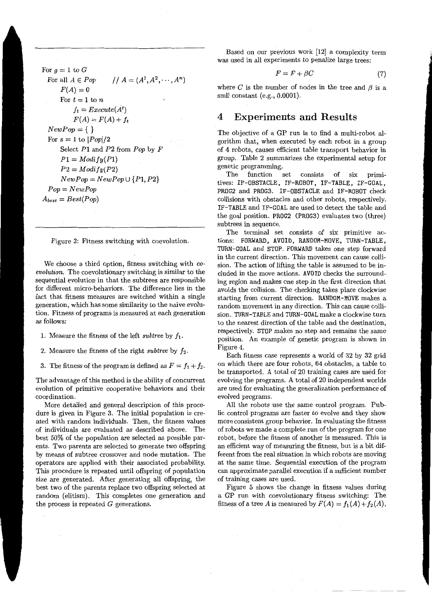For  $g = 1$  to  $G$ For all  $A \in Pop$ //  $A = (A^1, A^2, \dots, A^n)$  $F(A) = 0$ For  $t=1$  to n  $f_t = E$ *xecute* $(A^t)$  $F(A) = F(A) + f_t$  $NewPop = \{\}$ For  $s = 1$  to  $|Pop|/2$ Select P1 and *P2* from *Pop* by *F*   $P1 = Modify(P1)$  $P2 = Modify(P2)$  $NewPop = NewPop \cup \{P1, P2\}$ *Pop= NewPop*   $A_{best} = Best(Pop)$ 

Figure 3: Fitness switching with coevolution.

We choose a third option, fitness switching with *coevolution.* The coevolutionary switching is similar to the sequential evolution in that the subtrees are responsible for different micro-behaviors. The difference lies in the fact that fitness measures are switched within a single generation, which has some similarity to the naive evolution. Fitness of programs is measured at each generation as follows:

1. Measure the fitness of the left *subtree* by  $f_1$ .

2. Measure the fitness of the right *subtree* by  $f_2$ .

3. The fitness of the program is defined as  $F = f_1 + f_2$ .

The advantage of this method is the ability of concurrent evolution of primitive cooperative behaviors and their coordination.

More detailed and general description of this procedure is given in Figure 3. The initial population is created with random individuals. Then, the fitness values of individuals are evaluated as described above. The best 50% of the population are selected as possible parents. Two parents are selected to generate two offspring by means of subtree crossover and node mutation. The operators are applied with their associated probability. This procedure is repeated until offspring of population size are generated. After generating all offspring, the best two of the parents replace two offspring selected at random (elitism). This completes one generation and the process is repeated  $G$  generations.

Based on our previous work [12] a complexity term was used in all experiments to penalize large trees:

$$
F = F + \beta C \tag{7}
$$

where  $C$  is the number of nodes in the tree and  $\beta$  is a smll constant (e.g., 0.0001).

### **4 Experiments and Results**

The objective of a GP run is to find a multi-robot algorithm that, when executed by each robot in a group of 4 robots, causes efficient table transport behavior in group. Table 2 summarizes the experimental setup for genetic programming.

The function set consists of six primitives: IF-OBSTACLE, IF-ROBOT, IF-TABLE, IF-GOAL, PROG2 and PROG3. IF-OBSTACLE and IF-ROBOT check collisions with obstacles and other robots, respectively. IF-TABLE and IF-GOAL are used to detect the table and the goal position. PROG2 (PROG3) evaluates two (three) subtrees in sequence.

The terminal set consists of six primitive actions: FORWARD, AVOID, RANDOM-MOVE, TURN-TABLE, TURN-GOAL and STOP. FORWARD takes one step forward in the current direction. This movement can cause collision. The action of lifting the table is assumed to be included in the move actions. AVOID checks the surrounding region and makes one step in the first direction that avoids the collision. The checking takes place clockwise starting from current direction. RANDOM-MOVE makes a random movement in any direction. This can cause collision. TURN-TABLE and TURN-GOAL make a clockwise turn to the nearest direction of the table and the destination, respectively. STOP makes no step and remains the same position. An example of genetic program is shown in Figure 4.

Each fitness case represents a world of 32 by 32 grid on which there are four robots, 64 obstacles, a table to be transported. A total of 20 training cases are used for evolving the programs. A total of 20 independent worlds are used for evaluating the generalization performance of evolved programs.

All the robots use the same control program. Public control programs are faster to evolve and they show more consistent group behavior. In evaluating the fitness of robots we made a complete run of the program for one robot, before the fitness of another is measured. This is an efficient way of measuring the fitness, but is a bit different from the real situation in which robots are moving at the same time. Sequential execution of the program can approximate parallel execution if a sufficient number of training cases are used.

Figure 5 shows the change in fitness values during a GP run with coevolutionary fitness switching: The fitness of a tree *A* is measured by  $F(A) = f_1(A) + f_2(A)$ ,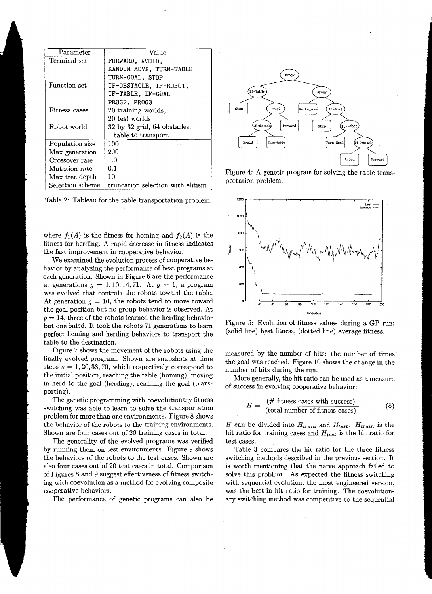| Parameter        | Value                              |  |  |
|------------------|------------------------------------|--|--|
| Terminal set     | FORWARD, AVOID.                    |  |  |
|                  | RANDOM-MOVE, TURN-TABLE            |  |  |
|                  | TURN-GOAL, STOP                    |  |  |
| Function set     | IF-OBSTACLE, IF-ROBOT,             |  |  |
|                  | IF-TABLE, IF-GOAL                  |  |  |
|                  | PROG2, PROG3                       |  |  |
| Fitness cases    | 20 training worlds,                |  |  |
|                  | 20 test worlds                     |  |  |
| Robot world      | $32$ by $32$ grid, $64$ obstacles, |  |  |
|                  | 1 table to transport               |  |  |
| Population size  | 100                                |  |  |
| Max generation   | 200                                |  |  |
| Crossover rate   | 1.0                                |  |  |
| Mutation rate    | 0.1                                |  |  |
| Max tree depth   | 10                                 |  |  |
| Selection scheme | truncation selection with elitism  |  |  |

Table 2: Tableau for the table transportation problem.

where  $f_1(A)$  is the fitness for homing and  $f_2(A)$  is the fitness for herding. A rapid decrease in fitness indicates the fast improvement in cooperative behavior.

We examined the evolution process of cooperative behavior by analyzing the performance of best programs at each generation. Shown in Figure 6 are the performance at generations  $g = 1, 10, 14, 71$ . At  $g = 1$ , a program was evolved that controls the robots toward the table. At generation  $g = 10$ , the robots tend to move toward the goal position but no group behavior is observed. At  $g = 14$ , three of the robots learned the herding behavior but one failed. It took the robots 71 generations to learn perfect homing and herding behaviors to transport the table to the destination.

Figure 7 shows the movement of the robots using the finally evolved program. Shown are snapshots at time steps  $s = 1, 20, 38, 70$ , which respectively correspond to the initial position, reaching the table (homing), moving in herd to the goal (herding), reaching the goal (transporting).

The genetic programming with coevolutionary fitness switching was able to learn to solve the transportation problem for more than one environments. Figure 8 shows the behavior of the robots to the training environments. Shown are four cases out of 20 training cases in total.

The generality of the evolved programs was verified by running them on test environments. Figure 9 shows the behaviors of the robots to the test cases. Shown are also four cases out of 20 test cases in total. Comparison of Figures 8 and 9 suggest effectiveness of fitness switching with coevolution as a method for evolving composite cooperative behaviors.

The performance of genetic programs can also be



Figure 4: A genetic program for solving the table transportation problem.



Figure 5: Evolution of fitness values during a GP run: (solid line) best fitness, (dotted line) average fitness.

measured by the number of hits: the number of times the goal was reached. Figure 10 shows the change in the number of hits during the run.

More generally, the hit ratio can be used as a measure of success in evolving cooperative behavior:

$$
H = \frac{(\# \text{ fitness cases with success})}{(\text{total number of fitness cases})}
$$
(8)

*H* can be divided into *Htrain* and *Htest. Htrain* is the hit ratio for training cases and *Htest* is the hit ratio for test cases.

Table 3 compares the hit ratio for the three fitness switching methods described in the previous section. It is worth mentioning that the naive approach failed to solve this problem. As expected the fitness switching with sequential evolution, the most engineered version, was the best in hit ratio for training. The coevolutionary switching method was competitive to the sequential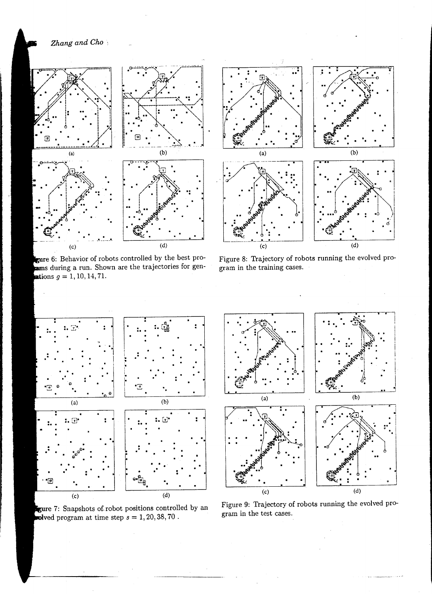*Zhang and Cho* :





Behavior of robots controlled by the best produring a run. Shown are the trajectories for gentions  $g = 1, 10, 14, 71$ .



Figure 8: Trajectory of robots running the evolved program in the training cases.



Snapshots of. robot positions controlled by an program at time step  $s = 1, 20, 38, 70$ .



Figure 9: Trajectory of robots running the evolved program in the test cases.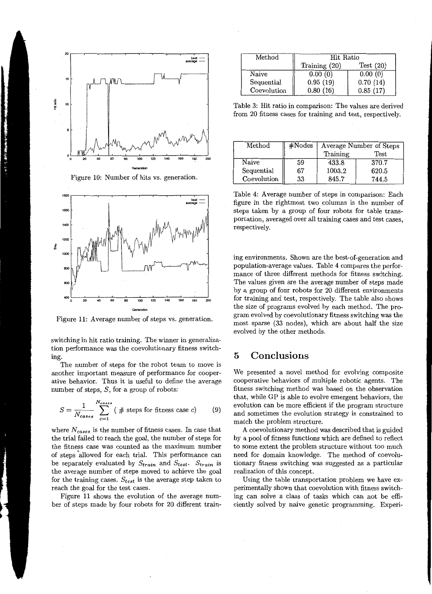

Figure 10: Number of hits vs. generation.



Figure 11: Average number of steps vs. generation.

switching in hit ratio training. The winner in generalization performance was the coevolutionary fitness switching.

The number of steps for the robot team to move is another important measure of performance for cooperative behavior. Thus it is useful to define the average number of steps,  $S$ , for a group of robots:

$$
S = \frac{1}{N_{cases}} \sum_{c=1}^{N_{cases}} (# steps for fitness case c)
$$
 (9)

where *Ncases* is the number of fitness cases. In case that the trial failed to reach the goal, the number of steps for the fitness case was counted as the maximum number of steps 'allowed for each trial. This performance can be separately evaluated by *Strain* and *Stest· Strain* is the average number of steps moved to achieve the goal for the training cases. *Stest* is the average step taken to reach the goal for the test cases.

Figure 11 shows the evolution of the average number of steps made by four robots for 20 different train-

| Method      | Hit Ratio       |             |  |
|-------------|-----------------|-------------|--|
|             | Training $(20)$ | Test $(20)$ |  |
| Naive       | 0.00(0)         | 0.00(0)     |  |
| Sequential  | 0.95(19)        | 0.70(14)    |  |
| Coevolution | 0.80(16)        | 0.85(17)    |  |

Table 3: Hit ratio in comparison: The values are derived from 20 fitness cases for training and test, respectively.

| $\operatorname*{Method}% \left( \mathcal{M}_{0},\mathcal{M}_{1}\right) \equiv\operatorname*{Mod}% \left( \mathcal{M}_{0},\mathcal{M}_{1}\right) \equiv\operatorname*{Mod}\left( \mathcal{M}_{0},\mathcal{M}_{0}\right) \equiv\operatorname*{Mod}% \left( \mathcal{M}_{0},\mathcal{M}_{1}\right) \equiv\operatorname*{Mod}% \left( \mathcal{M}_{0},\mathcal{M}_{1}\right) \equiv\operatorname*{Mod}\left( \mathcal{M}_{0},\mathcal{M}_{1}\right) \equiv\operatorname*{Mod}% \left( \mathcal{M}_{0},\mathcal{M}_{1}\right) \equiv\operatorname*{Mod}\left( \mathcal$ | #Nodes | Average Number of Steps |             |  |
|--------------------------------------------------------------------------------------------------------------------------------------------------------------------------------------------------------------------------------------------------------------------------------------------------------------------------------------------------------------------------------------------------------------------------------------------------------------------------------------------------------------------------------------------------------------------|--------|-------------------------|-------------|--|
|                                                                                                                                                                                                                                                                                                                                                                                                                                                                                                                                                                    |        | Training                | <b>Test</b> |  |
| Naive                                                                                                                                                                                                                                                                                                                                                                                                                                                                                                                                                              | 59     | 433.8                   | 370.7       |  |
| Sequential                                                                                                                                                                                                                                                                                                                                                                                                                                                                                                                                                         | 67     | 1003.2                  | 620.5       |  |
| Coevolution                                                                                                                                                                                                                                                                                                                                                                                                                                                                                                                                                        | 33     | 845.7                   | 744.5       |  |

Table 4: Average number of steps in comparison: Each figure in the rightmost two columns is the number of steps taken by a group of four robots for table transportation, averaged over all training cases and test cases, respectively.

ing environments. Shown are the best-of-generation and population-average values. Table 4 compares the performance of three different methods for fitness switching. The values given are the average number of steps made by a group of four robots for 20 different environments for training and test, respectively. The table also shows the size of programs evolved by each method. The program evolved by coevolutionary fitness switching was the most sparse (33 nodes), which are about half the size evolved by the other methods.

### **5 Conclusions**

We presented a novel method for evolving composite cooperative behaviors of multiple robotic agents. The fitness switching method was based on the observation that, while GP is able to evolve emergent behaviors, the evolution can be more efficient if the program structure and sometimes the evolution strategy is constrained to match the problem structure.

A coevolutionary method was described that is guided by a pool of fitness functions which are defined to reflect to some extent the problem structure without too much need for domain knowledge. The method of coevolutionary fitness switching was suggested as a particular realization of this concept.

Using the table transportation problem we have experimentally shown that coevolution with fitness switching can solve a class of tasks which can not be efficiently solved by naive genetic programming. Experi-